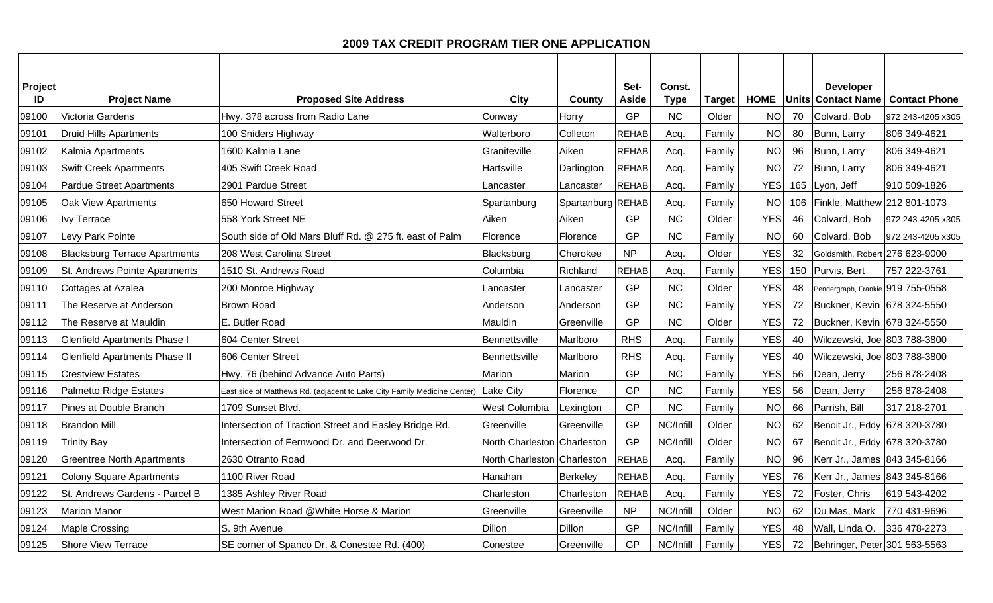## **2009 TAX CREDIT PROGRAM TIER ONE APPLICATION**

| Project<br>ID | <b>Project Name</b>                  | <b>Proposed Site Address</b>                                             | City                        | County            | Set-<br>Aside | Const.<br><b>Type</b> | Target | <b>HOME</b> |     | <b>Developer</b><br><b>Units Contact Name</b> | <b>Contact Phone</b> |
|---------------|--------------------------------------|--------------------------------------------------------------------------|-----------------------------|-------------------|---------------|-----------------------|--------|-------------|-----|-----------------------------------------------|----------------------|
| 09100         | Victoria Gardens                     | Hwy. 378 across from Radio Lane                                          | Conway                      | Horrv             | GP            | <b>NC</b>             | Older  | <b>NO</b>   | 70  | Colvard, Bob                                  | 972 243-4205 x305    |
| 09101         | <b>Druid Hills Apartments</b>        | 100 Sniders Highway                                                      | Walterboro                  | Colleton          | <b>REHAB</b>  | Acq.                  | Family | <b>NO</b>   | 80  | Bunn, Larry                                   | 806 349-4621         |
| 09102         | Kalmia Apartments                    | 1600 Kalmia Lane                                                         | Graniteville                | Aiken             | <b>REHAB</b>  | Acq.                  | Family | <b>NO</b>   | 96  | Bunn, Larry                                   | 806 349-4621         |
| 09103         | <b>Swift Creek Apartments</b>        | 405 Swift Creek Road                                                     | Hartsville                  | Darlington        | <b>REHAB</b>  | Acq.                  | Family | <b>NO</b>   | 72  | Bunn, Larry                                   | 806 349-4621         |
| 09104         | <b>Pardue Street Apartments</b>      | 2901 Pardue Street                                                       | Lancaster                   | Lancaster         | <b>REHAB</b>  | Acq.                  | Family | <b>YES</b>  | 165 | Lyon, Jeff                                    | 910 509-1826         |
| 09105         | Oak View Apartments                  | 650 Howard Street                                                        | Spartanburg                 | Spartanburg REHAB |               | Acq.                  | Family | <b>NO</b>   | 106 | Finkle, Matthew 212 801-1073                  |                      |
| 09106         | <b>Ivy Terrace</b>                   | 558 York Street NE                                                       | Aiken                       | Aiken             | GP            | NC                    | Older  | <b>YES</b>  | 46  | Colvard, Bob                                  | 972 243-4205 x305    |
| 09107         | Levy Park Pointe                     | South side of Old Mars Bluff Rd. @ 275 ft. east of Palm                  | Florence                    | Florence          | GP            | <b>NC</b>             | Family | <b>NO</b>   | 60  | Colvard, Bob                                  | 972 243-4205 x305    |
| 09108         | <b>Blacksburg Terrace Apartments</b> | 208 West Carolina Street                                                 | Blacksburg                  | Cherokee          | <b>NP</b>     | Acq.                  | Older  | <b>YES</b>  | 32  | Goldsmith, Robert 276 623-9000                |                      |
| 09109         | St. Andrews Pointe Apartments        | 1510 St. Andrews Road                                                    | Columbia                    | Richland          | <b>REHAB</b>  | Acq.                  | Family | <b>YES</b>  |     | 150 Purvis, Bert                              | 757 222-3761         |
| 09110         | Cottages at Azalea                   | 200 Monroe Highway                                                       | Lancaster                   | Lancaster         | GP            | NC                    | Older  | <b>YES</b>  | 48  | Pendergraph, Frankie 919 755-0558             |                      |
| 09111         | The Reserve at Anderson              | <b>Brown Road</b>                                                        | Anderson                    | Anderson          | GP            | NC                    | Family | <b>YES</b>  | 72  | Buckner, Kevin 678 324-5550                   |                      |
| 09112         | The Reserve at Mauldin               | E. Butler Road                                                           | Mauldin                     | Greenville        | GP            | <b>NC</b>             | Older  | <b>YES</b>  | 72  | Buckner, Kevin 678 324-5550                   |                      |
| 09113         | <b>Glenfield Apartments Phase I</b>  | 604 Center Street                                                        | Bennettsville               | Marlboro          | <b>RHS</b>    | Acq.                  | Family | <b>YES</b>  | 40  | Wilczewski, Joe 803 788-3800                  |                      |
| 09114         | <b>Glenfield Apartments Phase II</b> | 606 Center Street                                                        | Bennettsville               | Marlboro          | <b>RHS</b>    | Acq.                  | Family | <b>YES</b>  | 40  | Wilczewski, Joe 803 788-3800                  |                      |
| 09115         | <b>Crestview Estates</b>             | Hwy. 76 (behind Advance Auto Parts)                                      | Marion                      | Marion            | GP            | <b>NC</b>             | Family | <b>YES</b>  | 56  | Dean, Jerry                                   | 256 878-2408         |
| 09116         | Palmetto Ridge Estates               | East side of Matthews Rd. (adjacent to Lake City Family Medicine Center) | Lake City                   | Florence          | GP            | NC                    | Family | <b>YES</b>  | 56  | Dean, Jerry                                   | 256 878-2408         |
| 09117         | Pines at Double Branch               | 1709 Sunset Blvd.                                                        | West Columbia               | Lexington         | GP            | NC                    | Family | <b>NO</b>   | 66  | Parrish, Bill                                 | 317 218-2701         |
| 09118         | <b>Brandon Mill</b>                  | Intersection of Traction Street and Easley Bridge Rd.                    | Greenville                  | Greenville        | GP            | NC/Infill             | Older  | <b>NO</b>   | 62  | Benoit Jr., Eddy 678 320-3780                 |                      |
| 09119         | <b>Trinity Bay</b>                   | Intersection of Fernwood Dr. and Deerwood Dr.                            | North Charleston Charleston |                   | GP            | NC/Infill             | Older  | <b>NO</b>   | 67  | Benoit Jr., Eddy 678 320-3780                 |                      |
| 09120         | <b>Greentree North Apartments</b>    | 2630 Otranto Road                                                        | North Charleston Charleston |                   | <b>REHAB</b>  | Acq.                  | Family | <b>NO</b>   | 96  | Kerr Jr., James 843 345-8166                  |                      |
| 09121         | <b>Colony Square Apartments</b>      | 1100 River Road                                                          | Hanahan                     | <b>Berkeley</b>   | <b>REHAB</b>  | Acq.                  | Family | <b>YES</b>  | 76  | Kerr Jr., James 843 345-8166                  |                      |
| 09122         | St. Andrews Gardens - Parcel B       | 1385 Ashley River Road                                                   | Charleston                  | Charleston        | <b>REHAB</b>  | Acq.                  | Family | <b>YES</b>  | 72  | Foster, Chris                                 | 619 543-4202         |
| 09123         | <b>Marion Manor</b>                  | West Marion Road @White Horse & Marion                                   | Greenville                  | Greenville        | <b>NP</b>     | NC/Infill             | Older  | <b>NO</b>   | 62  | Du Mas, Mark                                  | 770 431-9696         |
| 09124         | <b>Maple Crossing</b>                | S. 9th Avenue                                                            | Dillon                      | <b>Dillon</b>     | GP            | NC/Infill             | Family | <b>YES</b>  | 48  | Wall, Linda O.                                | 336 478-2273         |
| 09125         | <b>Shore View Terrace</b>            | SE corner of Spanco Dr. & Conestee Rd. (400)                             | Conestee                    | Greenville        | GP            | NC/Infill             | Family | <b>YES</b>  |     | 72   Behringer, Peter 301 563-5563            |                      |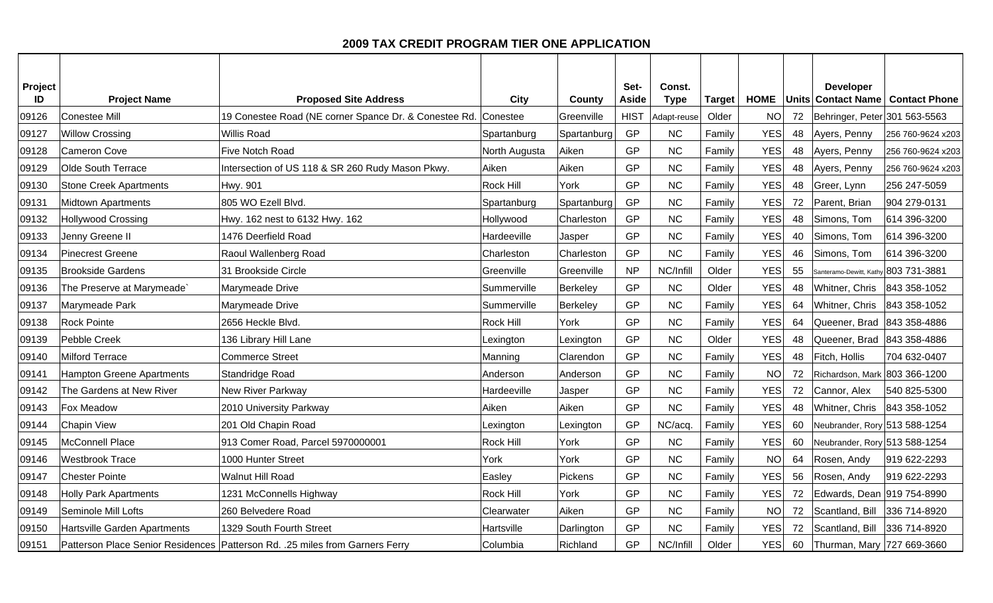## **2009 TAX CREDIT PROGRAM TIER ONE APPLICATION**

| Project |                                  |                                                                              |                  |                 | Set-        | Const.      |               |             |    | <b>Developer</b>              |                                  |
|---------|----------------------------------|------------------------------------------------------------------------------|------------------|-----------------|-------------|-------------|---------------|-------------|----|-------------------------------|----------------------------------|
| ID      | <b>Project Name</b>              | <b>Proposed Site Address</b>                                                 | City             | Countv          | Aside       | <b>Type</b> | <b>Target</b> | <b>HOME</b> |    |                               | Units Contact Name Contact Phone |
| 09126   | <b>Conestee Mill</b>             | 19 Conestee Road (NE corner Spance Dr. & Conestee Rd. Conestee               |                  | Greenville      | <b>HIST</b> | Adapt-reuse | Older         | <b>NO</b>   | 72 | Behringer, Peter 301 563-5563 |                                  |
| 09127   | <b>Willow Crossing</b>           | <b>Willis Road</b>                                                           | Spartanburg      | Spartanburg     | GP          | NC          | Family        | <b>YES</b>  | 48 | Ayers, Penny                  | 256 760-9624 x203                |
| 09128   | Cameron Cove                     | Five Notch Road                                                              | North Augusta    | Aiken           | GP          | NC          | Family        | <b>YES</b>  | 48 | Ayers, Penny                  | 256 760-9624 x203                |
| 09129   | Olde South Terrace               | Intersection of US 118 & SR 260 Rudy Mason Pkwy.                             | Aiken            | Aiken           | GP          | <b>NC</b>   | Family        | <b>YES</b>  | 48 | Ayers, Penny                  | 256 760-9624 x203                |
| 09130   | <b>Stone Creek Apartments</b>    | <b>Hwy. 901</b>                                                              | <b>Rock Hill</b> | York            | GP          | NC          | Family        | <b>YES</b>  | 48 | Greer, Lynn                   | 256 247-5059                     |
| 09131   | <b>Midtown Apartments</b>        | 805 WO Ezell Blvd.                                                           | Spartanburg      | Spartanburg     | GP          | NC          | Family        | <b>YES</b>  | 72 | Parent, Brian                 | 904 279-0131                     |
| 09132   | <b>Hollywood Crossing</b>        | Hwy. 162 nest to 6132 Hwy. 162                                               | Hollywood        | Charleston      | GP          | NC          | Family        | <b>YES</b>  | 48 | Simons, Tom                   | 614 396-3200                     |
| 09133   | Jenny Greene II                  | 1476 Deerfield Road                                                          | Hardeeville      | Jasper          | GP          | NC          | Family        | <b>YES</b>  | 40 | Simons, Tom                   | 614 396-3200                     |
| 09134   | <b>Pinecrest Greene</b>          | Raoul Wallenberg Road                                                        | Charleston       | Charleston      | GP          | NC          | Family        | <b>YES</b>  | 46 | Simons, Tom                   | 614 396-3200                     |
| 09135   | <b>Brookside Gardens</b>         | 31 Brookside Circle                                                          | Greenville       | Greenville      | <b>NP</b>   | NC/Infill   | Older         | <b>YES</b>  | 55 | Santeramo-Dewitt, Kathy       | 803 731-3881                     |
| 09136   | The Preserve at Marymeade`       | Marymeade Drive                                                              | Summerville      | Berkeley        | GP          | <b>NC</b>   | Older         | <b>YES</b>  | 48 | Whitner, Chris                | 843 358-1052                     |
| 09137   | Marymeade Park                   | Marymeade Drive                                                              | Summerville      | <b>Berkeley</b> | GP          | NC          | Family        | YES         | 64 | Whitner, Chris                | 843 358-1052                     |
| 09138   | <b>Rock Pointe</b>               | 2656 Heckle Blvd.                                                            | Rock Hill        | York            | GP          | NC          | Family        | <b>YES</b>  | 64 | Queener, Brad                 | 843 358-4886                     |
| 09139   | Pebble Creek                     | 136 Library Hill Lane                                                        | Lexington        | Lexington       | GP          | NC          | Older         | <b>YES</b>  | 48 | Queener, Brad 843 358-4886    |                                  |
| 09140   | <b>Milford Terrace</b>           | <b>Commerce Street</b>                                                       | Manning          | Clarendon       | GP          | NC          | Family        | <b>YES</b>  | 48 | Fitch, Hollis                 | 704 632-0407                     |
| 09141   | <b>Hampton Greene Apartments</b> | Standridge Road                                                              | Anderson         | Anderson        | GP          | NC          | Family        | <b>NO</b>   | 72 | Richardson, Mark 803 366-1200 |                                  |
| 09142   | The Gardens at New River         | New River Parkway                                                            | Hardeeville      | Jasper          | GP          | NC          | Family        | <b>YES</b>  | 72 | Cannor, Alex                  | 540 825-5300                     |
| 09143   | Fox Meadow                       | 2010 University Parkway                                                      | Aiken            | Aiken           | GP          | NC          | Family        | <b>YES</b>  | 48 | Whitner, Chris                | 843 358-1052                     |
| 09144   | <b>Chapin View</b>               | 201 Old Chapin Road                                                          | Lexington        | Lexington       | GP          | NC/acq      | Family        | <b>YES</b>  | 60 | Neubrander, Rory 513 588-1254 |                                  |
| 09145   | McConnell Place                  | 913 Comer Road, Parcel 5970000001                                            | Rock Hill        | York            | GP          | <b>NC</b>   | Family        | <b>YES</b>  | 60 | Neubrander, Rory 513 588-1254 |                                  |
| 09146   | <b>Westbrook Trace</b>           | 1000 Hunter Street                                                           | York             | York            | GP          | NC          | Family        | <b>NO</b>   | 64 | Rosen, Andy                   | 919 622-2293                     |
| 09147   | <b>Chester Pointe</b>            | <b>Walnut Hill Road</b>                                                      | Easley           | Pickens         | GP          | NC          | Family        | <b>YES</b>  | 56 | Rosen, Andy                   | 919 622-2293                     |
| 09148   | <b>Holly Park Apartments</b>     | 1231 McConnells Highway                                                      | <b>Rock Hill</b> | York            | GP          | <b>NC</b>   | Family        | <b>YES</b>  | 72 | Edwards, Dean 919 754-8990    |                                  |
| 09149   | Seminole Mill Lofts              | 260 Belvedere Road                                                           | Clearwater       | Aiken           | <b>GP</b>   | NC          | Family        | <b>NO</b>   | 72 | Scantland, Bill 336 714-8920  |                                  |
| 09150   | Hartsville Garden Apartments     | 1329 South Fourth Street                                                     | Hartsville       | Darlington      | GP          | NC          | Family        | <b>YES</b>  | 72 | Scantland, Bill 336 714-8920  |                                  |
| 09151   |                                  | Patterson Place Senior Residences Patterson Rd. .25 miles from Garners Ferry | Columbia         | Richland        | GP          | NC/Infill   | Older         | <b>YES</b>  | 60 | Thurman, Mary 727 669-3660    |                                  |